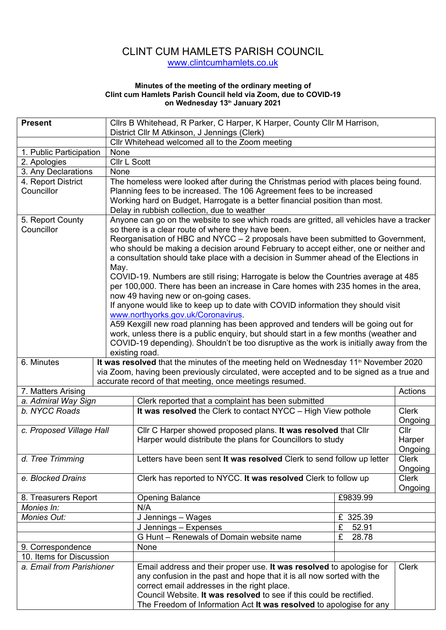## CLINT CUM HAMLETS PARISH COUNCIL www.clintcumhamlets.co.uk

## **Minutes of the meeting of the ordinary meeting of Clint cum Hamlets Parish Council held via Zoom, due to COVID-19 on Wednesday 13th January 2021**

| <b>Present</b>                            |      | Cllrs B Whitehead, R Parker, C Harper, K Harper, County Cllr M Harrison,                                                                                                                                                                                                                                                                                                                                                                                                                                                                                                                                                                                                                                                                                                                                                                                                                                                                                       |          |                         |  |  |
|-------------------------------------------|------|----------------------------------------------------------------------------------------------------------------------------------------------------------------------------------------------------------------------------------------------------------------------------------------------------------------------------------------------------------------------------------------------------------------------------------------------------------------------------------------------------------------------------------------------------------------------------------------------------------------------------------------------------------------------------------------------------------------------------------------------------------------------------------------------------------------------------------------------------------------------------------------------------------------------------------------------------------------|----------|-------------------------|--|--|
|                                           |      | District Cllr M Atkinson, J Jennings (Clerk)                                                                                                                                                                                                                                                                                                                                                                                                                                                                                                                                                                                                                                                                                                                                                                                                                                                                                                                   |          |                         |  |  |
|                                           |      | Cllr Whitehead welcomed all to the Zoom meeting                                                                                                                                                                                                                                                                                                                                                                                                                                                                                                                                                                                                                                                                                                                                                                                                                                                                                                                |          |                         |  |  |
| 1. Public Participation                   | None |                                                                                                                                                                                                                                                                                                                                                                                                                                                                                                                                                                                                                                                                                                                                                                                                                                                                                                                                                                |          |                         |  |  |
| 2. Apologies                              |      | Cllr L Scott                                                                                                                                                                                                                                                                                                                                                                                                                                                                                                                                                                                                                                                                                                                                                                                                                                                                                                                                                   |          |                         |  |  |
| 3. Any Declarations                       |      | None                                                                                                                                                                                                                                                                                                                                                                                                                                                                                                                                                                                                                                                                                                                                                                                                                                                                                                                                                           |          |                         |  |  |
| 4. Report District<br>Councillor          |      | The homeless were looked after during the Christmas period with places being found.<br>Planning fees to be increased. The 106 Agreement fees to be increased<br>Working hard on Budget, Harrogate is a better financial position than most.<br>Delay in rubbish collection, due to weather                                                                                                                                                                                                                                                                                                                                                                                                                                                                                                                                                                                                                                                                     |          |                         |  |  |
| 5. Report County                          |      | Anyone can go on the website to see which roads are gritted, all vehicles have a tracker                                                                                                                                                                                                                                                                                                                                                                                                                                                                                                                                                                                                                                                                                                                                                                                                                                                                       |          |                         |  |  |
| Councillor                                | May. | so there is a clear route of where they have been.<br>Reorganisation of HBC and NYCC - 2 proposals have been submitted to Government,<br>who should be making a decision around February to accept either, one or neither and<br>a consultation should take place with a decision in Summer ahead of the Elections in<br>COVID-19. Numbers are still rising; Harrogate is below the Countries average at 485<br>per 100,000. There has been an increase in Care homes with 235 homes in the area,<br>now 49 having new or on-going cases.<br>If anyone would like to keep up to date with COVID information they should visit<br>www.northyorks.gov.uk/Coronavirus.<br>A59 Kexgill new road planning has been approved and tenders will be going out for<br>work, unless there is a public enquiry, but should start in a few months (weather and<br>COVID-19 depending). Shouldn't be too disruptive as the work is initially away from the<br>existing road. |          |                         |  |  |
| 6. Minutes                                |      | It was resolved that the minutes of the meeting held on Wednesday 11 <sup>th</sup> November 2020                                                                                                                                                                                                                                                                                                                                                                                                                                                                                                                                                                                                                                                                                                                                                                                                                                                               |          |                         |  |  |
|                                           |      | via Zoom, having been previously circulated, were accepted and to be signed as a true and                                                                                                                                                                                                                                                                                                                                                                                                                                                                                                                                                                                                                                                                                                                                                                                                                                                                      |          |                         |  |  |
|                                           |      | accurate record of that meeting, once meetings resumed.                                                                                                                                                                                                                                                                                                                                                                                                                                                                                                                                                                                                                                                                                                                                                                                                                                                                                                        |          |                         |  |  |
| 7. Matters Arising                        |      |                                                                                                                                                                                                                                                                                                                                                                                                                                                                                                                                                                                                                                                                                                                                                                                                                                                                                                                                                                |          | Actions                 |  |  |
| a. Admiral Way Sign                       |      | Clerk reported that a complaint has been submitted                                                                                                                                                                                                                                                                                                                                                                                                                                                                                                                                                                                                                                                                                                                                                                                                                                                                                                             |          |                         |  |  |
| b. NYCC Roads<br>c. Proposed Village Hall |      | It was resolved the Clerk to contact NYCC - High View pothole                                                                                                                                                                                                                                                                                                                                                                                                                                                                                                                                                                                                                                                                                                                                                                                                                                                                                                  |          |                         |  |  |
|                                           |      | Cllr C Harper showed proposed plans. It was resolved that Cllr<br>Harper would distribute the plans for Councillors to study                                                                                                                                                                                                                                                                                                                                                                                                                                                                                                                                                                                                                                                                                                                                                                                                                                   |          |                         |  |  |
| d. Tree Trimming                          |      | Letters have been sent It was resolved Clerk to send follow up letter                                                                                                                                                                                                                                                                                                                                                                                                                                                                                                                                                                                                                                                                                                                                                                                                                                                                                          |          | Clerk<br>Ongoing        |  |  |
| e. Blocked Drains                         |      | Clerk has reported to NYCC. It was resolved Clerk to follow up                                                                                                                                                                                                                                                                                                                                                                                                                                                                                                                                                                                                                                                                                                                                                                                                                                                                                                 |          | <b>Clerk</b><br>Ongoing |  |  |
| 8. Treasurers Report                      |      | <b>Opening Balance</b>                                                                                                                                                                                                                                                                                                                                                                                                                                                                                                                                                                                                                                                                                                                                                                                                                                                                                                                                         | £9839.99 |                         |  |  |
| Monies In:                                |      | N/A                                                                                                                                                                                                                                                                                                                                                                                                                                                                                                                                                                                                                                                                                                                                                                                                                                                                                                                                                            |          |                         |  |  |
| <b>Monies Out:</b>                        |      | £ 325.39<br>J Jennings - Wages                                                                                                                                                                                                                                                                                                                                                                                                                                                                                                                                                                                                                                                                                                                                                                                                                                                                                                                                 |          |                         |  |  |
|                                           |      | J Jennings - Expenses<br>£<br>52.91                                                                                                                                                                                                                                                                                                                                                                                                                                                                                                                                                                                                                                                                                                                                                                                                                                                                                                                            |          |                         |  |  |
|                                           |      | G Hunt - Renewals of Domain website name<br>£<br>28.78                                                                                                                                                                                                                                                                                                                                                                                                                                                                                                                                                                                                                                                                                                                                                                                                                                                                                                         |          |                         |  |  |
| 9. Correspondence                         |      | None                                                                                                                                                                                                                                                                                                                                                                                                                                                                                                                                                                                                                                                                                                                                                                                                                                                                                                                                                           |          |                         |  |  |
| 10. Items for Discussion                  |      |                                                                                                                                                                                                                                                                                                                                                                                                                                                                                                                                                                                                                                                                                                                                                                                                                                                                                                                                                                |          |                         |  |  |
| a. Email from Parishioner                 |      | Email address and their proper use. It was resolved to apologise for<br>any confusion in the past and hope that it is all now sorted with the<br>correct email addresses in the right place.<br>Council Website. It was resolved to see if this could be rectified.<br>The Freedom of Information Act It was resolved to apologise for any                                                                                                                                                                                                                                                                                                                                                                                                                                                                                                                                                                                                                     |          | <b>Clerk</b>            |  |  |